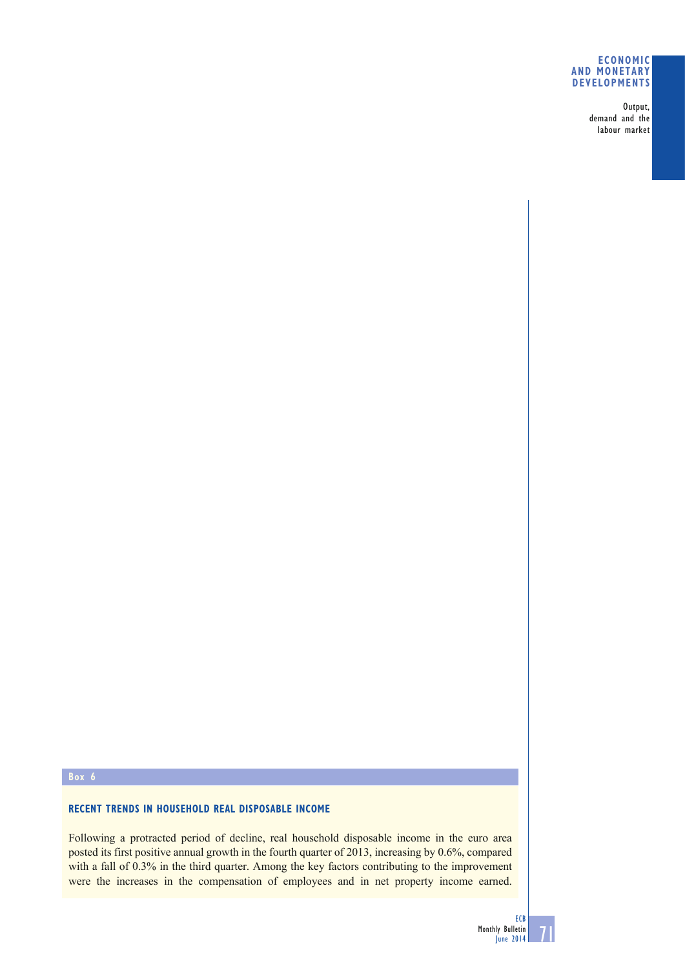#### **ECONOMIC AND MONETARY DEVELOPMENTS**

Output, demand and the labour market

# **Box 6**

## **RECENT TRENDS IN HOUSEHOLD REAL DISPOSABLE INCOME**

Following a protracted period of decline, real household disposable income in the euro area posted its first positive annual growth in the fourth quarter of 2013, increasing by 0.6%, compared with a fall of 0.3% in the third quarter. Among the key factors contributing to the improvement were the increases in the compensation of employees and in net property income earned.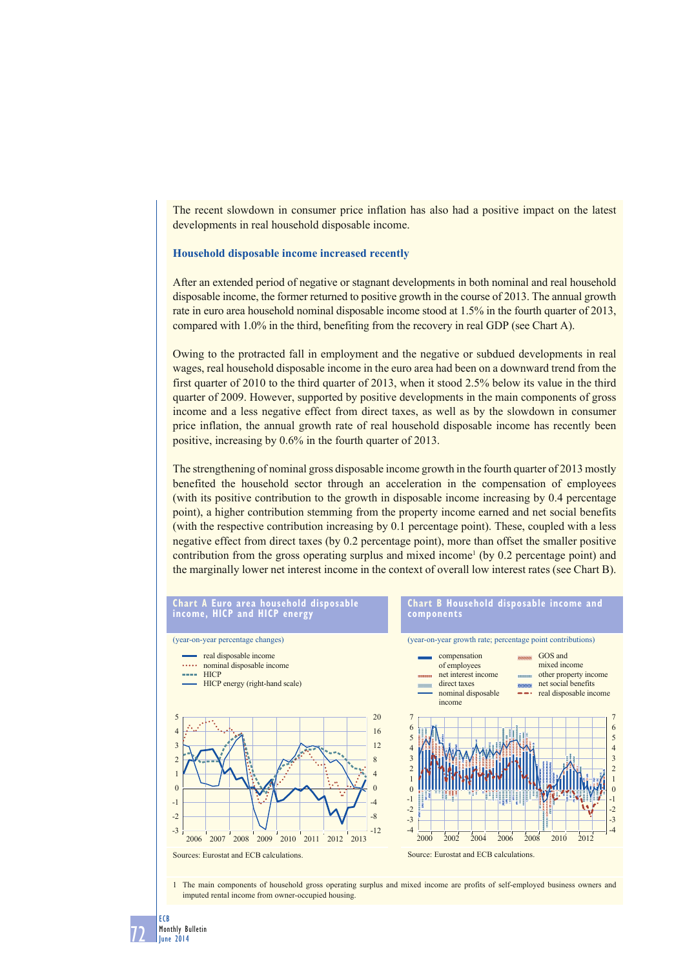The recent slowdown in consumer price inflation has also had a positive impact on the latest developments in real household disposable income.

#### **Household disposable income increased recently**

After an extended period of negative or stagnant developments in both nominal and real household disposable income, the former returned to positive growth in the course of 2013. The annual growth rate in euro area household nominal disposable income stood at 1.5% in the fourth quarter of 2013, compared with 1.0% in the third, benefiting from the recovery in real GDP (see Chart A).

Owing to the protracted fall in employment and the negative or subdued developments in real wages, real household disposable income in the euro area had been on a downward trend from the first quarter of 2010 to the third quarter of 2013, when it stood 2.5% below its value in the third quarter of 2009. However, supported by positive developments in the main components of gross income and a less negative effect from direct taxes, as well as by the slowdown in consumer price inflation, the annual growth rate of real household disposable income has recently been positive, increasing by 0.6% in the fourth quarter of 2013.

The strengthening of nominal gross disposable income growth in the fourth quarter of 2013 mostly benefited the household sector through an acceleration in the compensation of employees (with its positive contribution to the growth in disposable income increasing by 0.4 percentage point), a higher contribution stemming from the property income earned and net social benefits (with the respective contribution increasing by 0.1 percentage point). These, coupled with a less negative effect from direct taxes (by 0.2 percentage point), more than offset the smaller positive contribution from the gross operating surplus and mixed income<sup>1</sup> (by  $0.2$  percentage point) and the marginally lower net interest income in the context of overall low interest rates (see Chart B).



1 The main components of household gross operating surplus and mixed income are profits of self-employed business owners and imputed rental income from owner-occupied housing.

ECB

72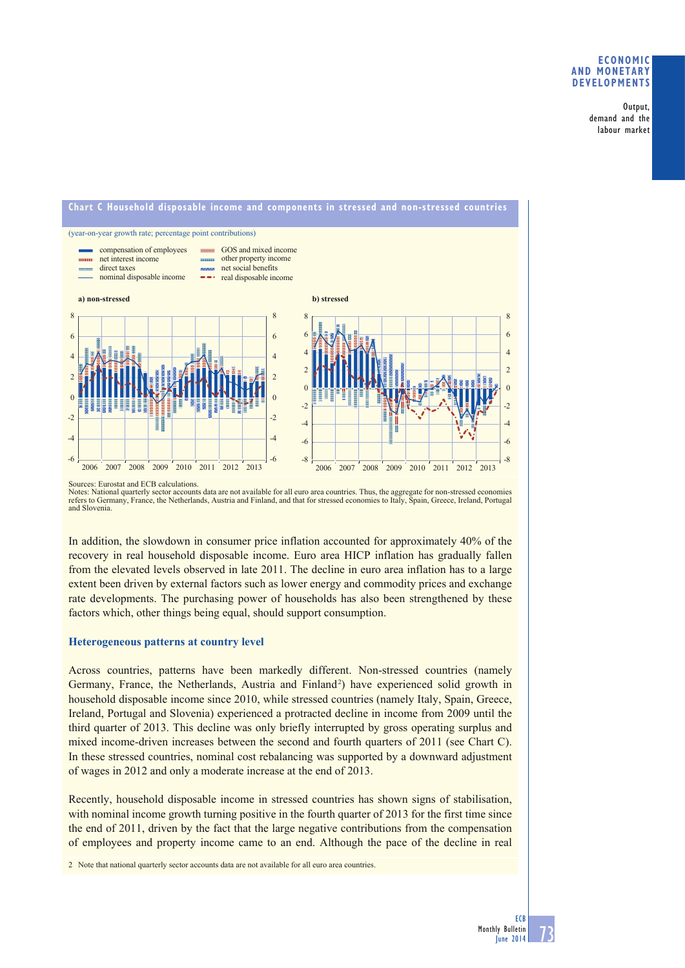### **ECONOMIC AND MONETARY DEVELOPMENTS**

Output, demand and the labour market



Sources: Eurostat and ECB calculations.

Notes: National quarterly sector accounts data are not available for all euro area countries. Thus, the aggregate for non-stressed economies<br>refers to Germany, France, the Netherlands, Austria and Finland, and that for str and Slovenia.

In addition, the slowdown in consumer price inflation accounted for approximately 40% of the recovery in real household disposable income. Euro area HICP inflation has gradually fallen from the elevated levels observed in late 2011. The decline in euro area inflation has to a large extent been driven by external factors such as lower energy and commodity prices and exchange rate developments. The purchasing power of households has also been strengthened by these factors which, other things being equal, should support consumption.

#### **Heterogeneous patterns at country level**

Across countries, patterns have been markedly different. Non-stressed countries (namely Germany, France, the Netherlands, Austria and Finland<sup>2</sup>) have experienced solid growth in household disposable income since 2010, while stressed countries (namely Italy, Spain, Greece, Ireland, Portugal and Slovenia) experienced a protracted decline in income from 2009 until the third quarter of 2013. This decline was only briefly interrupted by gross operating surplus and mixed income-driven increases between the second and fourth quarters of 2011 (see Chart C). In these stressed countries, nominal cost rebalancing was supported by a downward adjustment of wages in 2012 and only a moderate increase at the end of 2013.

Recently, household disposable income in stressed countries has shown signs of stabilisation, with nominal income growth turning positive in the fourth quarter of 2013 for the first time since the end of 2011, driven by the fact that the large negative contributions from the compensation of employees and property income came to an end. Although the pace of the decline in real

2 Note that national quarterly sector accounts data are not available for all euro area countries.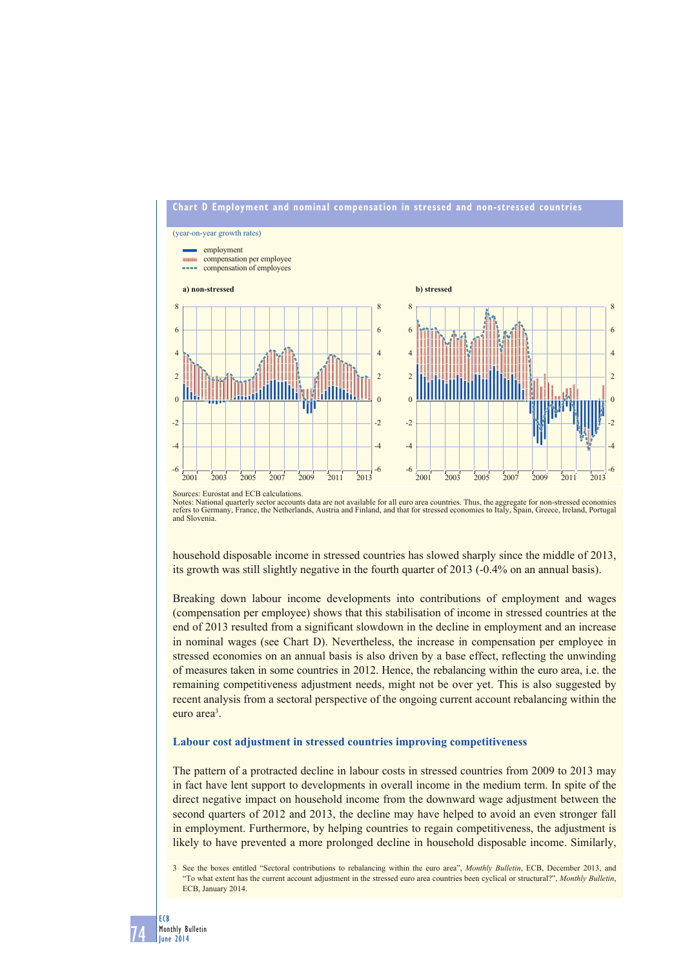

Sources: Eurostat and ECB calculations.

Notes: National quarterly sector accounts data are not available for all euro area countries. Thus, the aggregate for non-stressed economies<br>refers to Germany, France, the Netherlands, Austria and Finland, and that for str and Slovenia.

household disposable income in stressed countries has slowed sharply since the middle of 2013, its growth was still slightly negative in the fourth quarter of 2013 (-0.4% on an annual basis).

Breaking down labour income developments into contributions of employment and wages (compensation per employee) shows that this stabilisation of income in stressed countries at the end of 2013 resulted from a significant slowdown in the decline in employment and an increase in nominal wages (see Chart D). Nevertheless, the increase in compensation per employee in stressed economies on an annual basis is also driven by a base effect, reflecting the unwinding of measures taken in some countries in 2012. Hence, the rebalancing within the euro area, i.e. the remaining competitiveness adjustment needs, might not be over yet. This is also suggested by recent analysis from a sectoral perspective of the ongoing current account rebalancing within the euro area<sup>3</sup>.

### **Labour cost adjustment in stressed countries improving competitiveness**

The pattern of a protracted decline in labour costs in stressed countries from 2009 to 2013 may in fact have lent support to developments in overall income in the medium term. In spite of the direct negative impact on household income from the downward wage adjustment between the second quarters of 2012 and 2013, the decline may have helped to avoid an even stronger fall in employment. Furthermore, by helping countries to regain competitiveness, the adjustment is likely to have prevented a more prolonged decline in household disposable income. Similarly,

<sup>3</sup> See the boxes entitled "Sectoral contributions to rebalancing within the euro area", *Monthly Bulletin*, ECB, December 2013, and "To what extent has the current account adjustment in the stressed euro area countries been cyclical or structural?", *Monthly Bulletin*, ECB, January 2014.